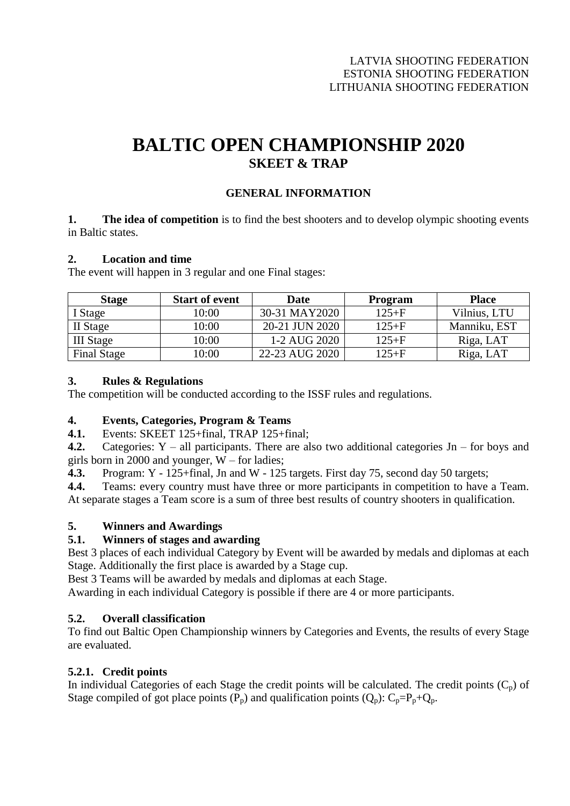# **BALTIC OPEN CHAMPIONSHIP 2020 SKEET & TRAP**

# **GENERAL INFORMATION**

**1. The idea of competition** is to find the best shooters and to develop olympic shooting events in Baltic states.

#### **2. Location and time**

The event will happen in 3 regular and one Final stages:

| <b>Stage</b>       | <b>Start of event</b> | Date           | <b>Program</b> | <b>Place</b> |
|--------------------|-----------------------|----------------|----------------|--------------|
| I Stage            | 10:00                 | 30-31 MAY2020  | $125 + F$      | Vilnius, LTU |
| II Stage           | 10:00                 | 20-21 JUN 2020 | $125 + F$      | Manniku, EST |
| <b>III</b> Stage   | 10:00                 | 1-2 AUG 2020   | $125 + F$      | Riga, LAT    |
| <b>Final Stage</b> | 10:00                 | 22-23 AUG 2020 | $125 + F$      | Riga, LAT    |

## **3. Rules & Regulations**

The competition will be conducted according to the ISSF rules and regulations.

## **4. Events, Categories, Program & Teams**

**4.1.** Events: SKEET 125+final, TRAP 125+final;

**4.2.** Categories: Y – all participants. There are also two additional categories Jn – for boys and girls born in 2000 and younger, W – for ladies;

**4.3.** Program: Y - 125+final, Jn and W - 125 targets. First day 75, second day 50 targets;

**4.4.** Teams: every country must have three or more participants in competition to have a Team. At separate stages a Team score is a sum of three best results of country shooters in qualification.

## **5. Winners and Awardings**

## **5.1. Winners of stages and awarding**

Best 3 places of each individual Category by Event will be awarded by medals and diplomas at each Stage. Additionally the first place is awarded by a Stage cup.

Best 3 Teams will be awarded by medals and diplomas at each Stage.

Awarding in each individual Category is possible if there are 4 or more participants.

## **5.2. Overall classification**

To find out Baltic Open Championship winners by Categories and Events, the results of every Stage are evaluated.

## **5.2.1. Credit points**

In individual Categories of each Stage the credit points will be calculated. The credit points  $(C_p)$  of Stage compiled of got place points  $(P_p)$  and qualification points  $(Q_p)$ :  $C_p = P_p + Q_p$ .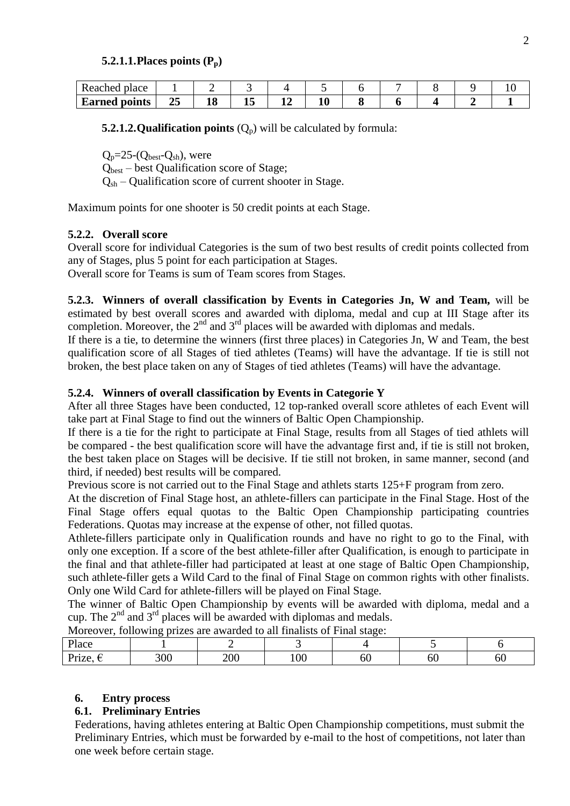#### **5.2.1.1.Places points (Pp)**

| place<br>eached      |                    |                 |   |    |    |  |  |  |
|----------------------|--------------------|-----------------|---|----|----|--|--|--|
| <b>Earned points</b> | --<br>25<br>$\sim$ | - -<br>ΔU<br>__ | ∸ | -- | 10 |  |  |  |

**5.2.1.2. Qualification points**  $(Q_p)$  will be calculated by formula:

 $Q_p = 25-(Q_{best}-Q_{sh})$ , were

 $Q<sub>best</sub>$  – best Qualification score of Stage;

 $Q_{sh}$  – Qualification score of current shooter in Stage.

Maximum points for one shooter is 50 credit points at each Stage.

## **5.2.2. Overall score**

Overall score for individual Categories is the sum of two best results of credit points collected from any of Stages, plus 5 point for each participation at Stages.

Overall score for Teams is sum of Team scores from Stages.

**5.2.3. Winners of overall classification by Events in Categories Jn, W and Team,** will be estimated by best overall scores and awarded with diploma, medal and cup at III Stage after its completion. Moreover, the  $2<sup>nd</sup>$  and  $3<sup>rd</sup>$  places will be awarded with diplomas and medals.

If there is a tie, to determine the winners (first three places) in Categories Jn, W and Team, the best qualification score of all Stages of tied athletes (Teams) will have the advantage. If tie is still not broken, the best place taken on any of Stages of tied athletes (Teams) will have the advantage.

## **5.2.4. Winners of overall classification by Events in Categorie Y**

After all three Stages have been conducted, 12 top-ranked overall score athletes of each Event will take part at Final Stage to find out the winners of Baltic Open Championship.

If there is a tie for the right to participate at Final Stage, results from all Stages of tied athlets will be compared - the best qualification score will have the advantage first and, if tie is still not broken, the best taken place on Stages will be decisive. If tie still not broken, in same manner, second (and third, if needed) best results will be compared.

Previous score is not carried out to the Final Stage and athlets starts 125+F program from zero.

At the discretion of Final Stage host, an athlete-fillers can participate in the Final Stage. Host of the Final Stage offers equal quotas to the Baltic Open Championship participating countries Federations. Quotas may increase at the expense of other, not filled quotas.

Athlete-fillers participate only in Qualification rounds and have no right to go to the Final, with only one exception. If a score of the best athlete-filler after Qualification, is enough to participate in the final and that athlete-filler had participated at least at one stage of Baltic Open Championship, such athlete-filler gets a Wild Card to the final of Final Stage on common rights with other finalists. Only one Wild Card for athlete-fillers will be played on Final Stage.

The winner of Baltic Open Championship by events will be awarded with diploma, medal and a cup. The  $2<sup>nd</sup>$  and  $3<sup>rd</sup>$  places will be awarded with diplomas and medals.

| TWOTCOVCI, TOHOWING DITZUS ALU AWALUCU IO AN HIMAIISIS OF FINAL StagU. |     |     |                |    |          |     |  |
|------------------------------------------------------------------------|-----|-----|----------------|----|----------|-----|--|
| Place                                                                  |     |     |                |    |          |     |  |
|                                                                        | 300 | 200 | 0 <sup>c</sup> | OU | $\alpha$ | DU. |  |

 $\overline{M}$  Moreover, following prizes are awarded to all finalists of Final stage:

## **6. Entry process**

## **6.1. Preliminary Entries**

Federations, having athletes entering at Baltic Open Championship competitions, must submit the Preliminary Entries, which must be forwarded by e-mail to the host of competitions, not later than one week before certain stage.